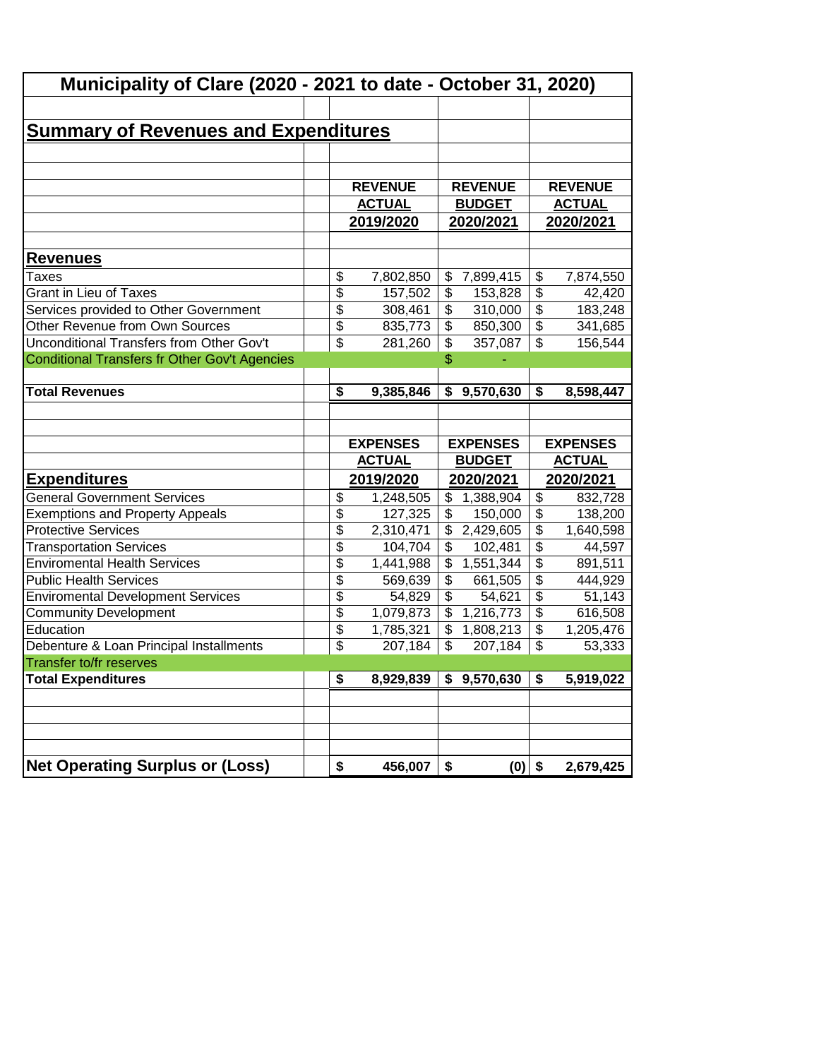| Municipality of Clare (2020 - 2021 to date - October 31, 2020) |                          |                 |                          |                 |                                        |                 |  |  |
|----------------------------------------------------------------|--------------------------|-----------------|--------------------------|-----------------|----------------------------------------|-----------------|--|--|
|                                                                |                          |                 |                          |                 |                                        |                 |  |  |
| <b>Summary of Revenues and Expenditures</b>                    |                          |                 |                          |                 |                                        |                 |  |  |
|                                                                |                          |                 |                          |                 |                                        |                 |  |  |
|                                                                |                          |                 |                          |                 |                                        |                 |  |  |
|                                                                |                          | <b>REVENUE</b>  |                          | <b>REVENUE</b>  |                                        | <b>REVENUE</b>  |  |  |
|                                                                |                          | <b>ACTUAL</b>   |                          | <b>BUDGET</b>   |                                        | <b>ACTUAL</b>   |  |  |
|                                                                |                          | 2019/2020       | 2020/2021                |                 |                                        | 2020/2021       |  |  |
|                                                                |                          |                 |                          |                 |                                        |                 |  |  |
| <b>Revenues</b>                                                |                          |                 |                          |                 |                                        |                 |  |  |
| Taxes                                                          | \$                       | 7,802,850       |                          | \$7,899,415     | \$                                     | 7,874,550       |  |  |
| <b>Grant in Lieu of Taxes</b>                                  | \$                       | 157,502         | \$                       | 153,828         | $\overline{\$}$                        | 42,420          |  |  |
| Services provided to Other Government                          | \$                       | 308,461         | \$                       | 310,000         | $\overline{\$}$                        | 183,248         |  |  |
| Other Revenue from Own Sources                                 | \$                       | 835,773         | \$                       | 850,300         | $\overline{\$}$                        | 341,685         |  |  |
| Unconditional Transfers from Other Gov't                       | $\overline{\mathcal{L}}$ | 281,260         | \$                       | 357,087         | $\overline{\mathcal{S}}$               | 156,544         |  |  |
| <b>Conditional Transfers fr Other Gov't Agencies</b>           |                          |                 | \$                       |                 |                                        |                 |  |  |
|                                                                |                          |                 |                          |                 |                                        |                 |  |  |
| <b>Total Revenues</b>                                          | \$                       | 9,385,846       |                          | \$9,570,630     | $\overline{\boldsymbol{\mathfrak{s}}}$ | 8,598,447       |  |  |
|                                                                |                          |                 |                          |                 |                                        |                 |  |  |
|                                                                |                          |                 |                          |                 |                                        |                 |  |  |
|                                                                |                          |                 |                          |                 |                                        |                 |  |  |
|                                                                |                          | <b>EXPENSES</b> |                          | <b>EXPENSES</b> |                                        | <b>EXPENSES</b> |  |  |
|                                                                |                          | <b>ACTUAL</b>   |                          | <b>BUDGET</b>   |                                        | <b>ACTUAL</b>   |  |  |
| <b>Expenditures</b>                                            |                          | 2019/2020       |                          | 2020/2021       |                                        | 2020/2021       |  |  |
| <b>General Government Services</b>                             | \$                       | 1,248,505       |                          | \$1,388,904     | $\overline{\mathbf{e}}$                | 832,728         |  |  |
| <b>Exemptions and Property Appeals</b>                         | $\overline{\$}$          | 127,325         | \$                       | 150,000         | $\overline{\$}$                        | 138,200         |  |  |
| <b>Protective Services</b>                                     | $\overline{\$}$          | 2,310,471       | \$                       | 2,429,605       | $\overline{\$}$                        | 1,640,598       |  |  |
| <b>Transportation Services</b>                                 | \$                       | 104,704         | \$                       | 102,481         | $\overline{\$}$                        | 44,597          |  |  |
| <b>Enviromental Health Services</b>                            | \$                       | 1,441,988       | \$                       | 1,551,344       | $\overline{\$}$                        | 891,511         |  |  |
| <b>Public Health Services</b>                                  | $\overline{\$}$          | 569,639         | \$                       | 661,505         | $\overline{\$}$                        | 444,929         |  |  |
| <b>Enviromental Development Services</b>                       | $\overline{\$}$          | 54,829          | $\overline{\$}$          | 54,621          | $\overline{\$}$                        | 51,143          |  |  |
| <b>Community Development</b>                                   | $\overline{\$}$          | 1,079,873       | $\overline{\mathcal{L}}$ | 1,216,773       | $\overline{\$}$                        | 616,508         |  |  |
| Education                                                      | \$                       | 1,785,321       | $\overline{\mathcal{L}}$ | 1,808,213       | $\overline{\$}$                        | 1,205,476       |  |  |
| Debenture & Loan Principal Installments                        | \$                       | 207,184         | \$                       | 207,184         | $\boldsymbol{\mathsf{S}}$              | 53,333          |  |  |
| <b>Transfer to/fr reserves</b>                                 |                          |                 |                          |                 |                                        |                 |  |  |
| <b>Total Expenditures</b>                                      | \$                       | 8,929,839       |                          | \$9,570,630     | \$                                     | 5,919,022       |  |  |
|                                                                |                          |                 |                          |                 |                                        |                 |  |  |
|                                                                |                          |                 |                          |                 |                                        |                 |  |  |
|                                                                |                          |                 |                          |                 |                                        |                 |  |  |
|                                                                |                          |                 |                          |                 |                                        |                 |  |  |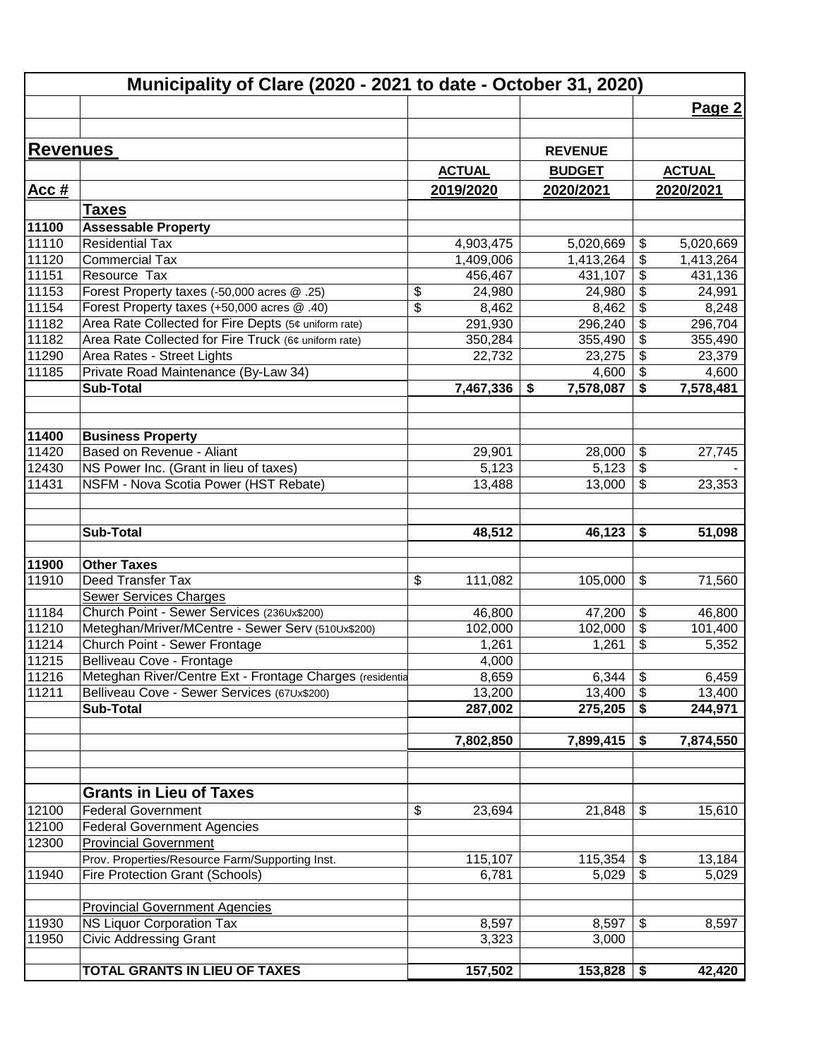|                 | Municipality of Clare (2020 - 2021 to date - October 31, 2020)            |                      |                      |                                                           |                      |
|-----------------|---------------------------------------------------------------------------|----------------------|----------------------|-----------------------------------------------------------|----------------------|
|                 |                                                                           |                      |                      |                                                           | Page 2               |
|                 |                                                                           |                      |                      |                                                           |                      |
| <b>Revenues</b> |                                                                           |                      | <b>REVENUE</b>       |                                                           |                      |
|                 |                                                                           | <b>ACTUAL</b>        | <b>BUDGET</b>        |                                                           | <b>ACTUAL</b>        |
| <u>Acc #</u>    |                                                                           | 2019/2020            | 2020/2021            |                                                           | 2020/2021            |
|                 |                                                                           |                      |                      |                                                           |                      |
|                 | <b>Taxes</b>                                                              |                      |                      |                                                           |                      |
| 11100<br>11110  | <b>Assessable Property</b><br><b>Residential Tax</b>                      |                      |                      |                                                           |                      |
|                 |                                                                           | 4,903,475            | 5,020,669            | \$                                                        | 5,020,669            |
| 11120<br>11151  | <b>Commercial Tax</b><br>Resource Tax                                     | 1,409,006<br>456,467 | 1,413,264<br>431,107 | $\boldsymbol{\theta}$<br>$\overline{\boldsymbol{\theta}}$ | 1,413,264<br>431,136 |
| 11153           | Forest Property taxes (-50,000 acres @ .25)                               | \$<br>24,980         | 24,980               | $\frac{1}{2}$                                             |                      |
| 11154           | Forest Property taxes (+50,000 acres @ .40)                               | \$                   |                      | $\boldsymbol{\theta}$                                     | 24,991               |
| 11182           | Area Rate Collected for Fire Depts (5¢ uniform rate)                      | 8,462                | 8,462                | \$                                                        | 8,248                |
| 11182           | Area Rate Collected for Fire Truck (6¢ uniform rate)                      | 291,930              | 296,240              | $\overline{\boldsymbol{\mathfrak{s}}}$                    | 296,704              |
| 11290           | Area Rates - Street Lights                                                | 350,284<br>22,732    | 355,490<br>23,275    | $\boldsymbol{\mathsf{S}}$                                 | 355,490<br>23,379    |
| 11185           | Private Road Maintenance (By-Law 34)                                      |                      | 4,600                | $\boldsymbol{\mathsf{S}}$                                 | 4,600                |
|                 | <b>Sub-Total</b>                                                          | 7,467,336            | 7,578,087<br>\$      | \$                                                        | 7,578,481            |
|                 |                                                                           |                      |                      |                                                           |                      |
| 11400           | <b>Business Property</b>                                                  |                      |                      |                                                           |                      |
| 11420           | Based on Revenue - Aliant                                                 | 29,901               | 28,000               | \$                                                        | 27,745               |
| 12430           | NS Power Inc. (Grant in lieu of taxes)                                    | 5,123                | 5,123                | $\boldsymbol{\theta}$                                     |                      |
| 11431           | NSFM - Nova Scotia Power (HST Rebate)                                     | 13,488               | 13,000               | $\sqrt{2}$                                                | 23,353               |
|                 |                                                                           |                      |                      |                                                           |                      |
|                 | <b>Sub-Total</b>                                                          | 48,512               | 46,123               | \$                                                        | 51,098               |
| 11900           | <b>Other Taxes</b>                                                        |                      |                      |                                                           |                      |
| 11910           | Deed Transfer Tax                                                         | \$<br>111,082        |                      | \$                                                        |                      |
|                 | Sewer Services Charges                                                    |                      | 105,000              |                                                           | 71,560               |
| 11184           | Church Point - Sewer Services (236Ux\$200)                                | 46,800               | 47,200               | $\boldsymbol{\theta}$                                     | 46,800               |
| 11210           | Meteghan/Mriver/MCentre - Sewer Serv (510Ux\$200)                         | 102,000              | 102,000              | $\overline{\boldsymbol{\theta}}$                          | 101,400              |
| 11214           | Church Point - Sewer Frontage                                             | 1,261                | 1,261                | \$                                                        | 5,352                |
| 11215           | Belliveau Cove - Frontage                                                 | 4,000                |                      |                                                           |                      |
| 11216           | Meteghan River/Centre Ext - Frontage Charges (residentia                  | 8,659                | $6,344$ \$           |                                                           | 6,459                |
| 11211           | Belliveau Cove - Sewer Services (67Ux\$200)                               | 13,200               | 13,400               | $\boldsymbol{\mathsf{S}}$                                 | 13,400               |
|                 | <b>Sub-Total</b>                                                          | 287,002              | 275,205              | \$                                                        | 244,971              |
|                 |                                                                           | 7,802,850            | 7,899,415            | \$                                                        | 7,874,550            |
|                 |                                                                           |                      |                      |                                                           |                      |
|                 | <b>Grants in Lieu of Taxes</b>                                            |                      |                      |                                                           |                      |
| 12100           | <b>Federal Government</b>                                                 | \$<br>23,694         | 21,848               | \$                                                        | 15,610               |
| 12100           | <b>Federal Government Agencies</b>                                        |                      |                      |                                                           |                      |
| 12300           | <b>Provincial Government</b>                                              |                      |                      |                                                           |                      |
|                 | Prov. Properties/Resource Farm/Supporting Inst.                           | 115,107              | 115,354              | \$                                                        | 13,184               |
| 11940           | <b>Fire Protection Grant (Schools)</b>                                    | 6,781                | 5,029                | \$                                                        | 5,029                |
|                 |                                                                           |                      |                      |                                                           |                      |
| 11930           | <b>Provincial Government Agencies</b><br><b>NS Liquor Corporation Tax</b> |                      |                      | \$                                                        |                      |
| 11950           | <b>Civic Addressing Grant</b>                                             | 8,597<br>3,323       | 8,597<br>3,000       |                                                           | 8,597                |
|                 |                                                                           |                      |                      |                                                           |                      |
|                 | TOTAL GRANTS IN LIEU OF TAXES                                             | 157,502              | 153,828              | \$                                                        | 42,420               |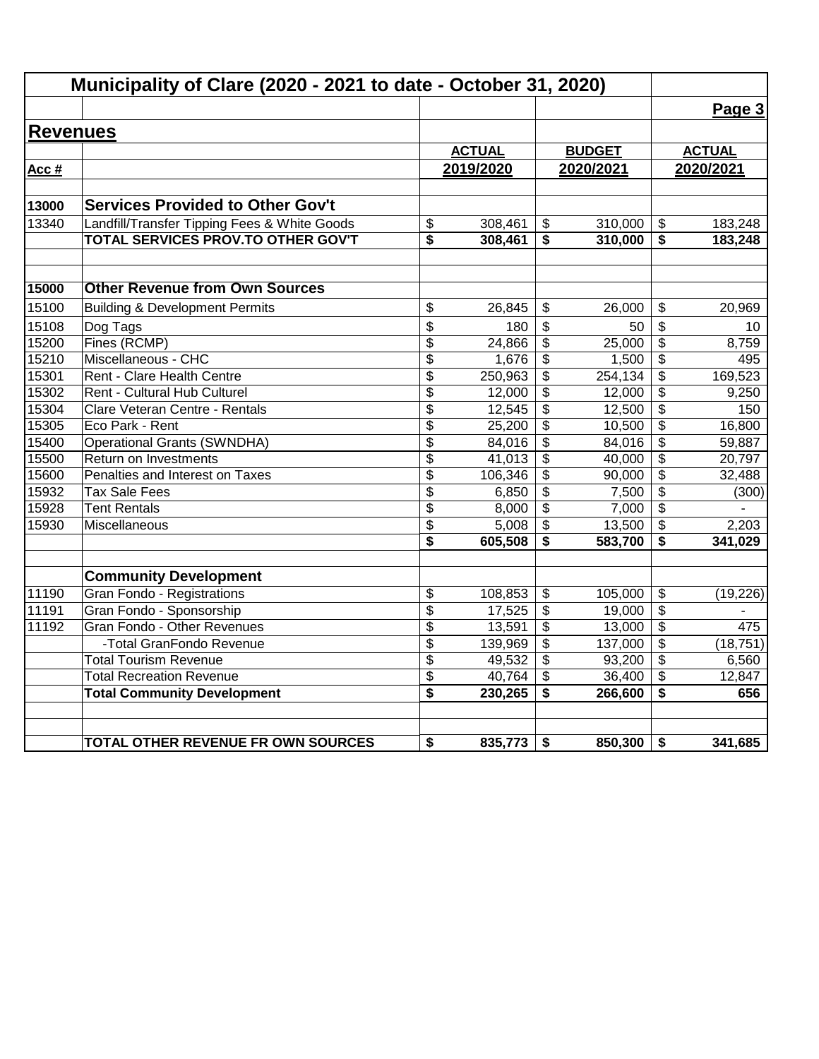|                 | Municipality of Clare (2020 - 2021 to date - October 31, 2020) |                 |               |                         |               |                                      |               |
|-----------------|----------------------------------------------------------------|-----------------|---------------|-------------------------|---------------|--------------------------------------|---------------|
|                 |                                                                |                 |               |                         |               |                                      | Page 3        |
| <b>Revenues</b> |                                                                |                 |               |                         |               |                                      |               |
|                 |                                                                |                 | <b>ACTUAL</b> |                         | <b>BUDGET</b> |                                      | <b>ACTUAL</b> |
| Acc #           |                                                                |                 | 2019/2020     |                         | 2020/2021     |                                      | 2020/2021     |
|                 |                                                                |                 |               |                         |               |                                      |               |
| 13000           | <b>Services Provided to Other Gov't</b>                        |                 |               |                         |               |                                      |               |
| 13340           | Landfill/Transfer Tipping Fees & White Goods                   | \$              | 308,461       | \$                      | 310,000       | \$                                   | 183,248       |
|                 | TOTAL SERVICES PROV.TO OTHER GOV'T                             | \$              | 308,461       | \$                      | 310,000       | \$                                   | 183,248       |
| 15000           | <b>Other Revenue from Own Sources</b>                          |                 |               |                         |               |                                      |               |
| 15100           | <b>Building &amp; Development Permits</b>                      | \$              | 26,845        | \$                      | 26.000        | \$                                   | 20,969        |
| 15108           | Dog Tags                                                       | \$              | 180           | \$                      | 50            | \$                                   | 10            |
| 15200           | Fines (RCMP)                                                   | \$              | 24,866        | \$                      | 25,000        | \$                                   | 8,759         |
| 15210           | Miscellaneous - CHC                                            | $\overline{\$}$ | 1,676         | \$                      | 1,500         | $\overline{\mathbf{S}}$              | 495           |
| 15301           | Rent - Clare Health Centre                                     | \$              | 250,963       | \$                      | 254, 134      | \$                                   | 169,523       |
| 15302           | Rent - Cultural Hub Culturel                                   | \$              | 12,000        | \$                      | 12,000        | \$                                   | 9,250         |
| 15304           | Clare Veteran Centre - Rentals                                 | \$              | 12,545        | $\overline{\mathbf{3}}$ | 12,500        | $\overline{\boldsymbol{\mathsf{s}}}$ | 150           |
| 15305           | Eco Park - Rent                                                | \$              | 25,200        | \$                      | 10,500        | $\overline{\mathcal{S}}$             | 16,800        |
| 15400           | <b>Operational Grants (SWNDHA)</b>                             | \$              | 84,016        | \$                      | 84,016        | \$                                   | 59,887        |
| 15500           | Return on Investments                                          | $\overline{\$}$ | 41,013        | $\overline{\mathbf{3}}$ | 40,000        | $\overline{\boldsymbol{\mathsf{s}}}$ | 20,797        |
| 15600           | Penalties and Interest on Taxes                                | \$              | 106,346       | \$                      | 90,000        | $\overline{\mathbf{S}}$              | 32,488        |
| 15932           | <b>Tax Sale Fees</b>                                           | \$              | 6,850         | \$                      | 7,500         | $\frac{1}{2}$                        | (300)         |
| 15928           | <b>Tent Rentals</b>                                            | \$              | 8,000         | \$                      | 7,000         | \$                                   |               |
| 15930           | Miscellaneous                                                  | \$              | 5,008         | $\overline{\mathbf{3}}$ | 13,500        | \$                                   | 2,203         |
|                 |                                                                | \$              | 605,508       | \$                      | 583,700       | \$                                   | 341,029       |
|                 | <b>Community Development</b>                                   |                 |               |                         |               |                                      |               |
| 11190           | <b>Gran Fondo - Registrations</b>                              | \$              | 108,853       | \$                      | 105,000       | \$                                   | (19, 226)     |
| 11191           | Gran Fondo - Sponsorship                                       | \$              | 17,525        | \$                      | 19,000        | $\frac{1}{2}$                        |               |
| 11192           | Gran Fondo - Other Revenues                                    | \$              | 13,591        | \$                      | 13,000        | \$                                   | 475           |
|                 | -Total GranFondo Revenue                                       | \$              | 139,969       | $\overline{\mathbf{e}}$ | 137,000       | \$                                   | (18, 751)     |
|                 | <b>Total Tourism Revenue</b>                                   | \$              | 49,532        | \$                      | 93,200        | \$                                   | 6,560         |
|                 | <b>Total Recreation Revenue</b>                                | \$              | 40,764        | \$                      | 36,400        | \$                                   | 12,847        |
|                 | <b>Total Community Development</b>                             | \$              | 230,265       | \$                      | 266,600       | \$                                   | 656           |
|                 | TOTAL OTHER REVENUE FR OWN SOURCES                             | \$              | 835,773       | \$                      | 850,300       | \$                                   | 341,685       |
|                 |                                                                |                 |               |                         |               |                                      |               |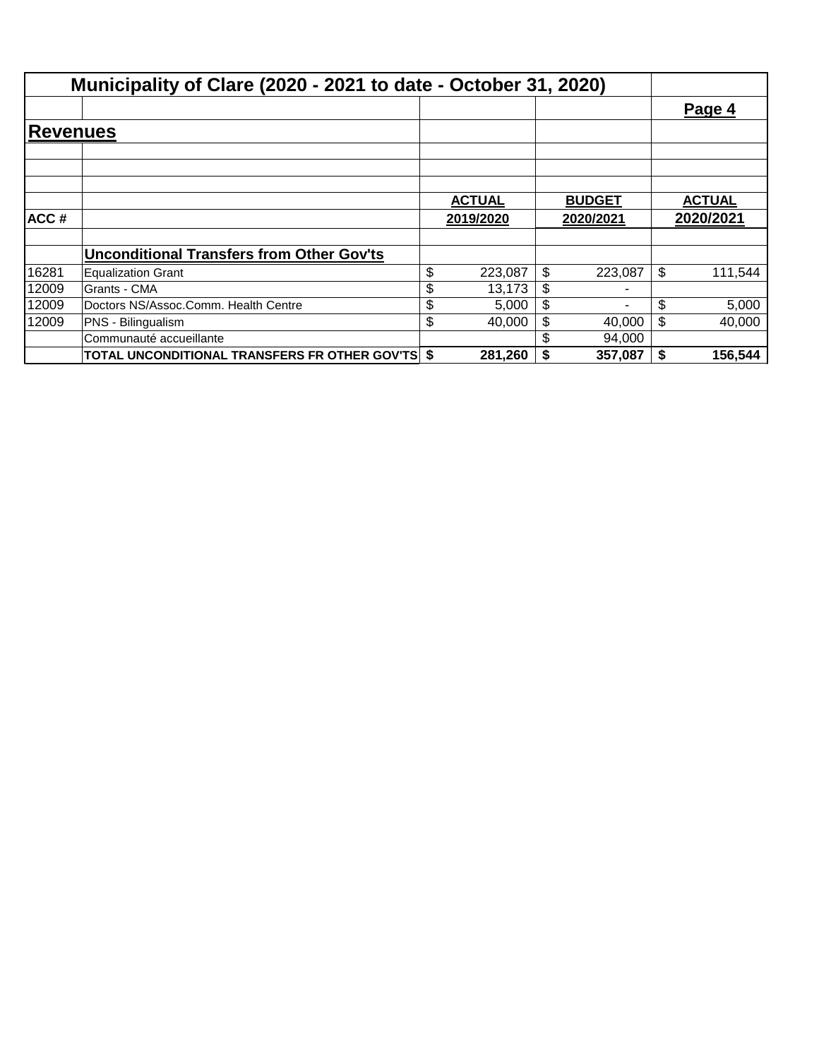|                 | Municipality of Clare (2020 - 2021 to date - October 31, 2020) |               |               |               |
|-----------------|----------------------------------------------------------------|---------------|---------------|---------------|
|                 |                                                                |               |               | Page 4        |
| <b>Revenues</b> |                                                                |               |               |               |
|                 |                                                                |               |               |               |
|                 |                                                                | <b>ACTUAL</b> | <b>BUDGET</b> | <b>ACTUAL</b> |
| ACC#            |                                                                | 2019/2020     | 2020/2021     | 2020/2021     |
|                 | <b>Unconditional Transfers from Other Gov'ts</b>               |               |               |               |
| 16281           | <b>Equalization Grant</b>                                      | \$<br>223,087 | \$<br>223.087 | \$<br>111,544 |
| 12009           | Grants - CMA                                                   | \$<br>13,173  | \$            |               |
| 12009           | Doctors NS/Assoc.Comm. Health Centre                           | \$<br>5,000   | \$            | \$<br>5,000   |
| 12009           | PNS - Bilingualism                                             | \$<br>40.000  | \$<br>40,000  | \$<br>40,000  |
|                 | Communauté accueillante                                        |               | 94,000        |               |
|                 | <b>TOTAL UNCONDITIONAL TRANSFERS FR OTHER GOV'TS \$</b>        | 281,260       | 357,087       | \$<br>156,544 |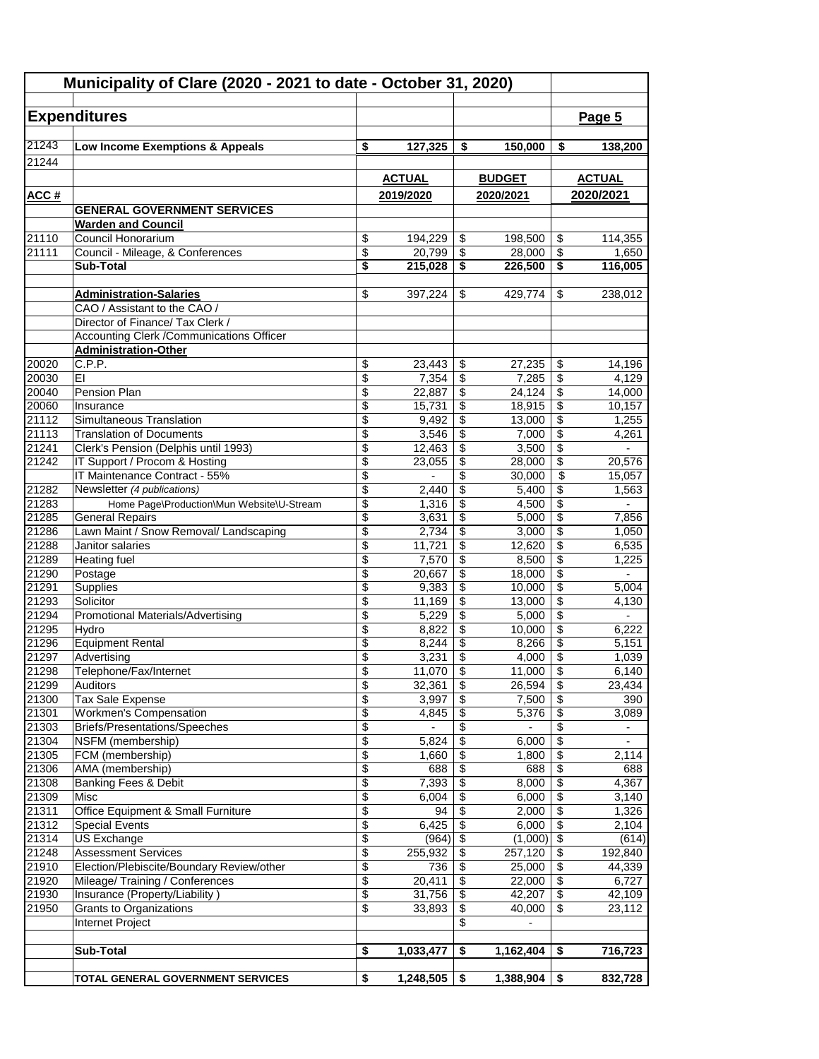| Municipality of Clare (2020 - 2021 to date - October 31, 2020) |                                                                         |                 |                  |                           |                   |                                  |                          |
|----------------------------------------------------------------|-------------------------------------------------------------------------|-----------------|------------------|---------------------------|-------------------|----------------------------------|--------------------------|
|                                                                |                                                                         |                 |                  |                           |                   |                                  |                          |
|                                                                | <b>Expenditures</b>                                                     |                 |                  |                           |                   |                                  | Page 5                   |
| 21243                                                          | Low Income Exemptions & Appeals                                         | \$              | 127,325          | \$                        | 150,000           | \$                               | 138,200                  |
| 21244                                                          |                                                                         |                 |                  |                           |                   |                                  |                          |
|                                                                |                                                                         |                 | <b>ACTUAL</b>    |                           | <b>BUDGET</b>     |                                  | <b>ACTUAL</b>            |
|                                                                |                                                                         |                 | 2019/2020        |                           | 2020/2021         |                                  | 2020/2021                |
| <u>ACC#</u>                                                    | <b>GENERAL GOVERNMENT SERVICES</b>                                      |                 |                  |                           |                   |                                  |                          |
|                                                                | <b>Warden and Council</b>                                               |                 |                  |                           |                   |                                  |                          |
| 21110                                                          | Council Honorarium                                                      | \$              | 194,229          | \$                        | 198,500           | \$                               | 114,355                  |
| 21111                                                          | Council - Mileage, & Conferences                                        | \$              | 20,799           | \$                        | 28.000            | \$                               | 1,650                    |
|                                                                | <b>Sub-Total</b>                                                        | \$              | 215,028          | \$                        | 226,500           | \$                               | 116,005                  |
|                                                                |                                                                         |                 |                  |                           |                   |                                  |                          |
|                                                                | <b>Administration-Salaries</b>                                          | \$              | 397,224          | \$                        | 429,774           | \$                               | 238,012                  |
|                                                                | CAO / Assistant to the CAO /                                            |                 |                  |                           |                   |                                  |                          |
|                                                                | Director of Finance/ Tax Clerk /                                        |                 |                  |                           |                   |                                  |                          |
|                                                                | Accounting Clerk / Communications Officer                               |                 |                  |                           |                   |                                  |                          |
|                                                                | <b>Administration-Other</b>                                             |                 |                  |                           |                   |                                  |                          |
| 20020                                                          | C.P.P.                                                                  | \$              | 23,443           | \$                        | 27.235            | \$                               | 14,196                   |
| 20030<br>20040                                                 | ΕI<br>Pension Plan                                                      | \$<br>\$        | 7,354            | \$<br>\$                  | 7,285             | \$<br>\$                         | 4,129                    |
| 20060                                                          | Insurance                                                               | \$              | 22,887<br>15,731 | \$                        | 24,124<br>18,915  | \$                               | 14,000<br>10,157         |
| 21112                                                          | Simultaneous Translation                                                | \$              | 9,492            | \$                        | 13,000            | \$                               | 1,255                    |
| 21113                                                          | <b>Translation of Documents</b>                                         | \$              | 3,546            | \$                        | 7,000             | \$                               | 4,261                    |
| 21241                                                          | Clerk's Pension (Delphis until 1993)                                    | \$              | 12,463           | \$                        | 3,500             | \$                               |                          |
| 21242                                                          | IT Support / Procom & Hosting                                           | \$              | 23,055           | \$                        | 28,000            | \$                               | 20,576                   |
|                                                                | IT Maintenance Contract - 55%                                           | \$              |                  | \$                        | 30,000            | \$                               | 15,057                   |
| 21282                                                          | Newsletter (4 publications)                                             | \$              | 2,440            | \$                        | 5,400             | \$                               | 1,563                    |
| 21283                                                          | Home Page\Production\Mun Website\U-Stream                               | \$              | 1,316            | \$                        | 4,500             | \$                               | $\overline{\phantom{a}}$ |
| 21285                                                          | <b>General Repairs</b>                                                  | \$              | 3,631            | \$                        | 5,000             | \$                               | 7,856                    |
| 21286                                                          | Lawn Maint / Snow Removal/ Landscaping                                  | \$              | 2,734            | \$                        | 3,000             | \$                               | 1,050                    |
| 21288                                                          | Janitor salaries                                                        | \$              | 11,721           | \$                        | 12,620            | \$                               | 6,535                    |
| 21289                                                          | <b>Heating fuel</b>                                                     | \$              | 7,570            | \$                        | 8,500             | \$                               | 1,225                    |
| 21290                                                          | Postage                                                                 | \$              | 20,667           | \$                        | 18,000            | \$                               | $\overline{\phantom{0}}$ |
| 21291                                                          | Supplies                                                                | \$              | 9,383            | \$                        | 10,000            | \$                               | 5,004                    |
| 21293                                                          | Solicitor                                                               | \$              | 11,169           | \$                        | 13,000            | \$                               | 4,130                    |
| 21294                                                          | <b>Promotional Materials/Advertising</b>                                | \$              | 5,229            | \$                        | 5,000             | \$                               |                          |
| 21295<br>21296                                                 | Hydro<br><b>Equipment Rental</b>                                        | \$<br>\$        | 8,822<br>8,244   | \$<br>\$                  | 10,000<br>8,266   | \$<br>\$                         | 6,222<br>5,151           |
| 21297                                                          | Advertising                                                             | \$              | 3,231            | $\boldsymbol{\mathsf{S}}$ | 4,000             | $\overline{\boldsymbol{\theta}}$ | 1,039                    |
| 21298                                                          | Telephone/Fax/Internet                                                  | \$              | $11,070$ \$      |                           | 11,000            | $\overline{\mathcal{L}}$         | 6,140                    |
| 21299                                                          | Auditors                                                                | \$              | 32,361           | \$                        | 26,594            | \$                               | 23,434                   |
| 21300                                                          | <b>Tax Sale Expense</b>                                                 | \$              | 3,997            | \$                        | 7,500             | \$                               | 390                      |
| 21301                                                          | <b>Workmen's Compensation</b>                                           | $\overline{\$}$ | 4,845            | $\overline{\$}$           | 5,376             | $\overline{\$}$                  | 3,089                    |
| 21303                                                          | Briefs/Presentations/Speeches                                           | \$              |                  | \$                        |                   | $\overline{\$}$                  |                          |
| 21304                                                          | NSFM (membership)                                                       | \$              | 5,824            | \$                        | 6,000             | $\sqrt[6]{3}$                    | $\overline{\phantom{a}}$ |
| 21305                                                          | FCM (membership)                                                        | \$              | 1,660            | \$                        | 1,800             | \$                               | 2,114                    |
| 21306                                                          | AMA (membership)                                                        | \$              | 688              | \$                        | 688               | \$                               | 688                      |
| 21308                                                          | Banking Fees & Debit                                                    | \$              | 7,393            | \$                        | 8,000             | \$                               | 4,367                    |
| 21309                                                          | Misc                                                                    | \$              | 6,004            | \$                        | 6,000             | \$                               | 3,140                    |
| 21311                                                          | Office Equipment & Small Furniture                                      | \$              | 94               | \$                        | 2,000             | \$                               | 1,326                    |
| 21312                                                          | <b>Special Events</b>                                                   | \$              | 6,425            | \$                        | 6,000             | $\overline{\$}$                  | 2,104                    |
| 21314                                                          | <b>US Exchange</b>                                                      | \$              | (964)            | \$                        | (1,000)           | $\sqrt{2}$                       | (614)                    |
| 21248<br>21910                                                 | <b>Assessment Services</b><br>Election/Plebiscite/Boundary Review/other | \$<br>\$        | 255,932<br>736   | \$                        | 257,120<br>25,000 | \$<br>\$                         | 192,840<br>44,339        |
| 21920                                                          | Mileage/ Training / Conferences                                         | \$              | 20,411           | \$<br>\$                  | 22,000            | $\overline{\mathbf{S}}$          | 6,727                    |
| 21930                                                          | Insurance (Property/Liability)                                          | \$              | 31,756           | \$                        | 42,207            | $\overline{\$}$                  | 42,109                   |
| 21950                                                          | Grants to Organizations                                                 | \$              | 33,893           | \$                        | 40,000            | \$                               | 23,112                   |
|                                                                | Internet Project                                                        |                 |                  | \$                        | $\overline{a}$    |                                  |                          |
|                                                                |                                                                         |                 |                  |                           |                   |                                  |                          |
|                                                                | <b>Sub-Total</b>                                                        | \$              | 1,033,477        | \$                        | 1,162,404         | \$                               | 716,723                  |
|                                                                |                                                                         |                 |                  |                           |                   |                                  |                          |
|                                                                | TOTAL GENERAL GOVERNMENT SERVICES                                       | \$              | 1,248,505        | \$                        | 1,388,904         | \$                               | 832,728                  |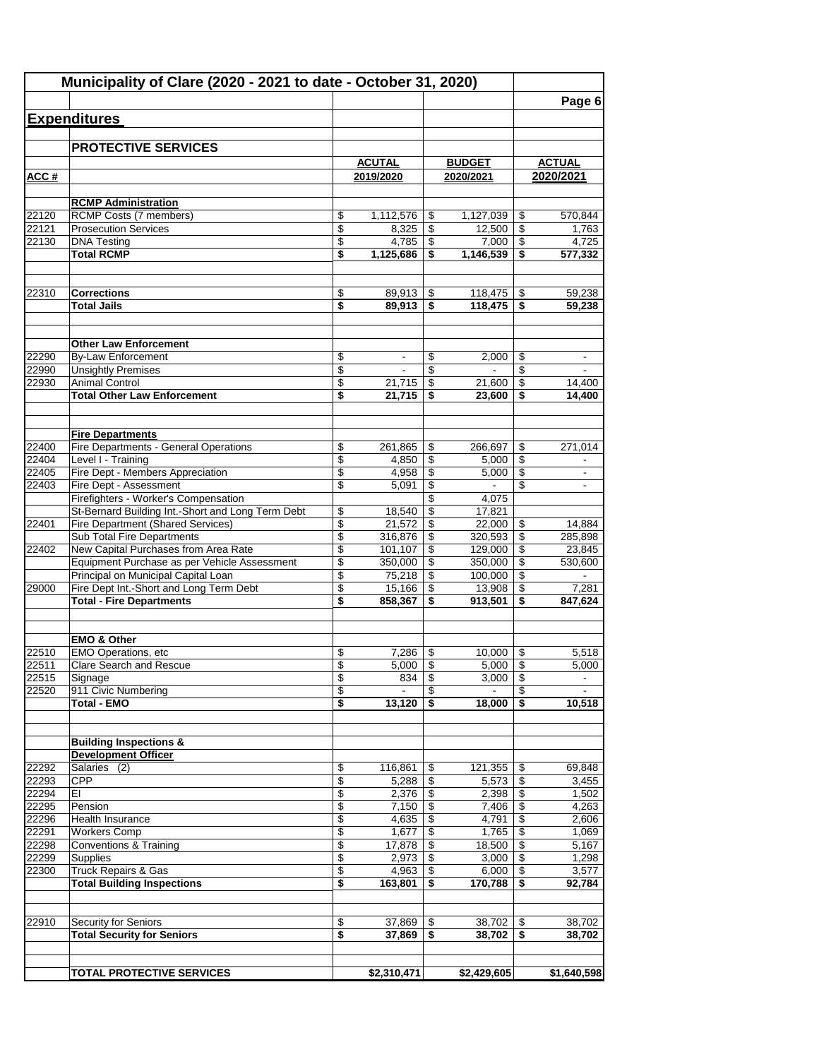|                | Municipality of Clare (2020 - 2021 to date - October 31, 2020)                      |          |                            |          |                            |                 | Page 6                     |
|----------------|-------------------------------------------------------------------------------------|----------|----------------------------|----------|----------------------------|-----------------|----------------------------|
|                | <b>Expenditures</b>                                                                 |          |                            |          |                            |                 |                            |
|                |                                                                                     |          |                            |          |                            |                 |                            |
|                | <b>PROTECTIVE SERVICES</b>                                                          |          |                            |          |                            |                 |                            |
| ACC#           |                                                                                     |          | <b>ACUTAL</b><br>2019/2020 |          | <b>BUDGET</b><br>2020/2021 |                 | <b>ACTUAL</b><br>2020/2021 |
|                |                                                                                     |          |                            |          |                            |                 |                            |
|                | <b>RCMP Administration</b>                                                          |          |                            |          |                            |                 |                            |
| 22120          | RCMP Costs (7 members)                                                              | \$       | 1,112,576                  | \$       |                            |                 | 570,844                    |
| 22121          | <b>Prosecution Services</b>                                                         | \$       | 8,325                      | \$       | 12,500                     | \$              | 1,763                      |
| 22130          | <b>DNA Testing</b>                                                                  | \$       | 4,785                      | \$       | 7,000                      | $\overline{\$}$ | 4,725                      |
|                | <b>Total RCMP</b>                                                                   | \$       | 1,125,686                  | \$       | 1,146,539                  | \$              | 577,332                    |
| 22310          | <b>Corrections</b>                                                                  | \$       | 89,913                     | \$       | 118,475                    | -\$             | 59,238                     |
|                | <b>Total Jails</b>                                                                  | \$       | 89,913                     | \$       | 118,475                    | \$              | 59,238                     |
|                |                                                                                     |          |                            |          |                            |                 |                            |
|                | <b>Other Law Enforcement</b>                                                        |          |                            |          |                            |                 |                            |
| 22290          | <b>By-Law Enforcement</b>                                                           | \$       | $\overline{\phantom{a}}$   | \$       | 2,000                      | \$              | $\overline{\phantom{a}}$   |
| 22990          | <b>Unsightly Premises</b>                                                           | \$       |                            | \$       |                            | \$              |                            |
| 22930          | <b>Animal Control</b><br><b>Total Other Law Enforcement</b>                         | \$<br>\$ | 21,715<br>21,715           | \$<br>\$ | 21,600<br>23,600           | \$<br>\$        | 14,400<br>14,400           |
|                |                                                                                     |          |                            |          |                            |                 |                            |
|                | <b>Fire Departments</b>                                                             |          |                            |          |                            |                 |                            |
| 22400          | Fire Departments - General Operations                                               | \$       | 261,865                    | \$       | 266,697                    | \$              | 271,014                    |
| 22404<br>22405 | Level I - Training<br>Fire Dept - Members Appreciation                              | \$<br>\$ | 4,850<br>4,958             | \$<br>\$ | 5,000<br>5,000             | \$<br>\$        | $\sim$                     |
| 22403          | Fire Dept - Assessment                                                              | \$       | 5,091                      | \$       | $\blacksquare$             | \$              |                            |
|                | Firefighters - Worker's Compensation                                                |          |                            | \$       | 4,075                      |                 |                            |
|                | St-Bernard Building Int.-Short and Long Term Debt                                   | \$       | 18,540                     | \$       | 17,821                     |                 |                            |
| 22401          | <b>Fire Department (Shared Services)</b>                                            | \$       | 21,572                     | \$       | 22,000                     | \$              | 14,884                     |
|                | Sub Total Fire Departments                                                          | \$       | 316,876                    | \$       | 320,593                    | \$              | 285,898                    |
| 22402          | New Capital Purchases from Area Rate                                                | \$       | 101,107                    | \$       | 129,000                    | \$              | 23,845                     |
|                | Equipment Purchase as per Vehicle Assessment<br>Principal on Municipal Capital Loan | \$<br>\$ | 350,000<br>75,218          | \$<br>\$ | 350,000<br>100,000         | \$<br>\$        | 530,600                    |
| 29000          | Fire Dept Int.-Short and Long Term Debt                                             | \$       | 15,166                     | \$       | 13,908                     | \$              | 7,281                      |
|                | <b>Total - Fire Departments</b>                                                     | \$       | 858,367                    | \$       | 913,501                    | \$              | 847,624                    |
|                |                                                                                     |          |                            |          |                            |                 |                            |
|                | <b>EMO &amp; Other</b>                                                              |          |                            |          |                            |                 |                            |
| 22510<br>22511 | <b>EMO Operations, etc</b><br><b>Clare Search and Rescue</b>                        | \$<br>\$ | 7,286<br>5,000             | \$<br>\$ | 10,000<br>5,000            | \$<br>\$        | 5,518<br>5,000             |
| 22515          | Signage                                                                             | \$       | 834                        | \$       | 3,000                      | \$              |                            |
| 22520          | 911 Civic Numbering                                                                 | \$       |                            | \$       |                            | \$              |                            |
|                | <b>Total - EMO</b>                                                                  | \$       | 13,120                     | \$       | 18,000                     | \$              | 10,518                     |
|                | <b>Building Inspections &amp;</b>                                                   |          |                            |          |                            |                 |                            |
|                | <b>Development Officer</b>                                                          |          |                            |          |                            |                 |                            |
| 22292          | Salaries (2)                                                                        | \$       | 116,861                    | \$       | 121,355                    | \$              | 69,848                     |
| 22293          | <b>CPP</b>                                                                          | \$       | 5,288                      | \$       | 5,573                      | \$              | 3,455                      |
| 22294          | ΕI                                                                                  | \$       | 2,376                      | \$       | 2,398                      | \$              | 1,502                      |
| 22295<br>22296 | Pension<br><b>Health Insurance</b>                                                  | \$<br>\$ | 7,150<br>4,635             | \$<br>\$ | 7,406<br>4,791             | \$<br>\$        | 4,263<br>2,606             |
| 22291          | <b>Workers Comp</b>                                                                 | \$       | 1,677                      | \$       | 1,765                      | \$              | 1,069                      |
| 22298          | Conventions & Training                                                              | \$       | 17,878                     | \$       | 18,500                     | \$              | 5,167                      |
| 22299          | Supplies                                                                            | \$       | 2,973                      | \$       | 3,000                      | \$              | 1,298                      |
| 22300          | <b>Truck Repairs &amp; Gas</b>                                                      | \$       | 4,963                      | \$       | 6,000                      | \$              | 3,577                      |
|                | <b>Total Building Inspections</b>                                                   | \$       | 163,801                    | \$       | 170,788                    | \$              | 92,784                     |
| 22910          | Security for Seniors                                                                | \$       | 37,869                     | \$       | 38,702                     | \$              | 38,702                     |
|                | <b>Total Security for Seniors</b>                                                   | \$       | 37,869                     | \$       | 38,702                     | \$              | 38,702                     |
|                |                                                                                     |          |                            |          |                            |                 |                            |
|                |                                                                                     |          |                            |          |                            |                 |                            |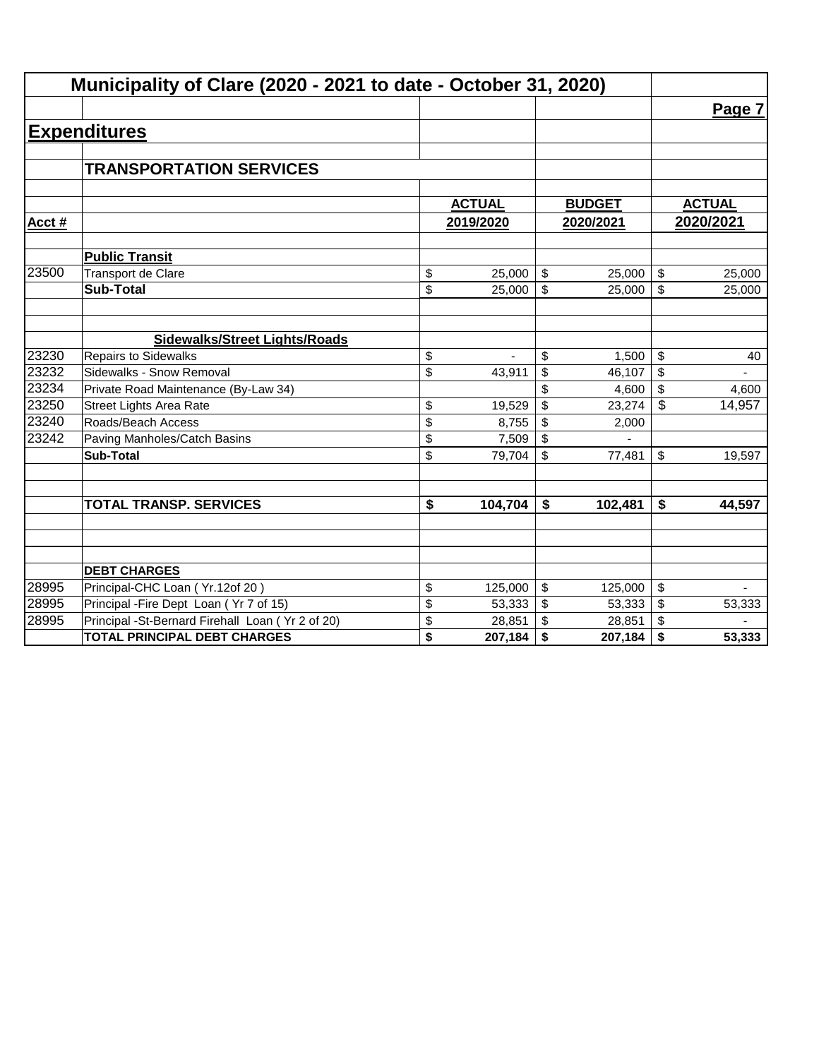|       | Municipality of Clare (2020 - 2021 to date - October 31, 2020) |                                      |               |                         |               |    |               |  |  |
|-------|----------------------------------------------------------------|--------------------------------------|---------------|-------------------------|---------------|----|---------------|--|--|
|       |                                                                |                                      |               |                         |               |    | Page 7        |  |  |
|       | <b>Expenditures</b>                                            |                                      |               |                         |               |    |               |  |  |
|       |                                                                |                                      |               |                         |               |    |               |  |  |
|       | <b>TRANSPORTATION SERVICES</b>                                 |                                      |               |                         |               |    |               |  |  |
|       |                                                                |                                      |               |                         |               |    |               |  |  |
|       |                                                                |                                      | <b>ACTUAL</b> |                         | <b>BUDGET</b> |    | <b>ACTUAL</b> |  |  |
| Acct# |                                                                |                                      | 2019/2020     |                         | 2020/2021     |    | 2020/2021     |  |  |
|       | <b>Public Transit</b>                                          |                                      |               |                         |               |    |               |  |  |
| 23500 | Transport de Clare                                             | \$                                   | 25,000        | \$                      | 25,000        | \$ | 25,000        |  |  |
|       | <b>Sub-Total</b>                                               | \$                                   | 25,000        | \$                      | 25,000        | \$ | 25,000        |  |  |
|       |                                                                |                                      |               |                         |               |    |               |  |  |
|       | <b>Sidewalks/Street Lights/Roads</b>                           |                                      |               |                         |               |    |               |  |  |
| 23230 | <b>Repairs to Sidewalks</b>                                    | \$                                   |               | \$                      | 1,500         | \$ | 40            |  |  |
| 23232 | Sidewalks - Snow Removal                                       | \$                                   | 43,911        | \$                      | 46,107        | \$ |               |  |  |
| 23234 | Private Road Maintenance (By-Law 34)                           |                                      |               | \$                      | 4,600         | \$ | 4,600         |  |  |
| 23250 | <b>Street Lights Area Rate</b>                                 | \$                                   | 19,529        | \$                      | 23,274        | \$ | 14,957        |  |  |
| 23240 | Roads/Beach Access                                             | \$                                   | 8,755         | \$                      | 2,000         |    |               |  |  |
| 23242 | Paving Manholes/Catch Basins                                   | \$                                   | 7,509         | \$                      |               |    |               |  |  |
|       | <b>Sub-Total</b>                                               | \$                                   | 79,704        | \$                      | 77,481        | \$ | 19,597        |  |  |
|       |                                                                |                                      |               |                         |               |    |               |  |  |
|       | <b>TOTAL TRANSP. SERVICES</b>                                  | $\overline{\boldsymbol{\mathsf{s}}}$ | 104,704       | \$                      | 102,481       | \$ | 44,597        |  |  |
|       |                                                                |                                      |               |                         |               |    |               |  |  |
|       |                                                                |                                      |               |                         |               |    |               |  |  |
|       |                                                                |                                      |               |                         |               |    |               |  |  |
|       | <b>DEBT CHARGES</b>                                            |                                      |               |                         |               |    |               |  |  |
| 28995 | Principal-CHC Loan (Yr.12of 20)                                | \$                                   | 125,000       | $\sqrt[6]{\frac{1}{2}}$ | 125,000       | \$ |               |  |  |
| 28995 | Principal - Fire Dept Loan (Yr 7 of 15)                        | \$                                   | 53,333        | \$                      | 53,333        | \$ | 53,333        |  |  |
| 28995 | Principal -St-Bernard Firehall Loan (Yr 2 of 20)               | \$                                   | 28,851        | \$                      | 28,851        | \$ |               |  |  |
|       | <b>TOTAL PRINCIPAL DEBT CHARGES</b>                            | \$                                   | 207,184       | \$                      | 207,184       | \$ | 53,333        |  |  |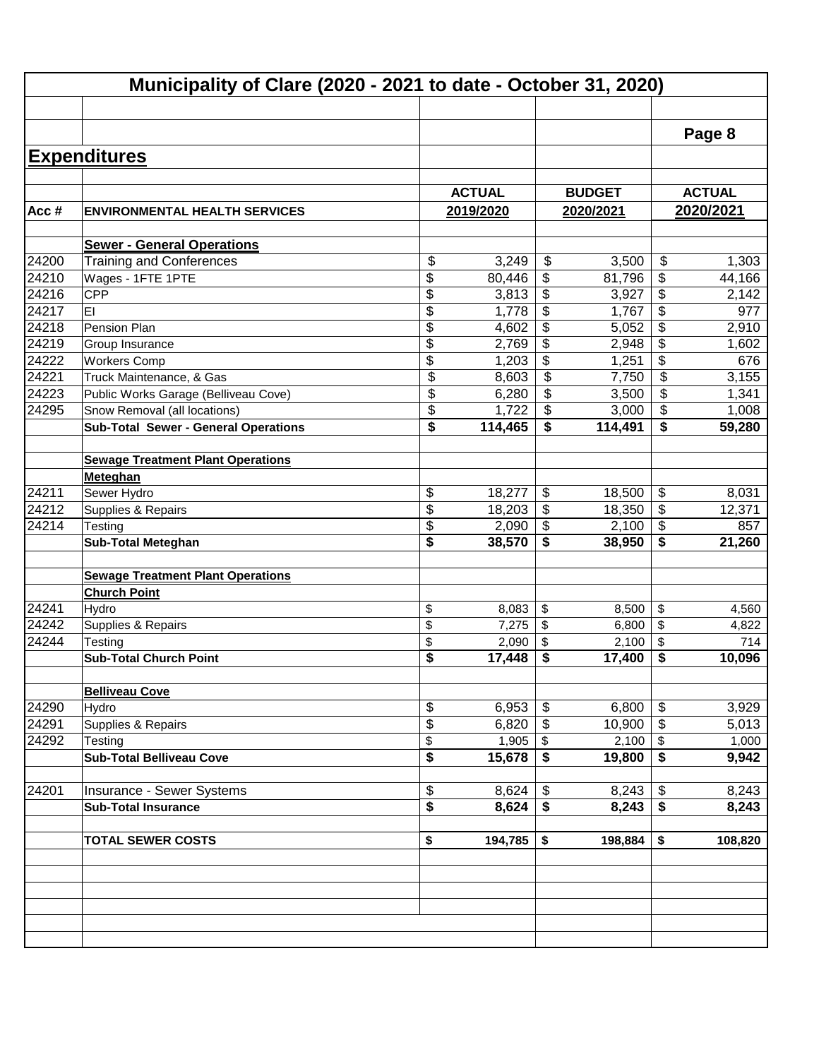|         |                                             |               |                                      |               |                            | Page 8               |
|---------|---------------------------------------------|---------------|--------------------------------------|---------------|----------------------------|----------------------|
|         | <b>Expenditures</b>                         |               |                                      |               |                            |                      |
|         |                                             |               |                                      |               |                            |                      |
|         |                                             | <b>ACTUAL</b> |                                      | <b>BUDGET</b> |                            | <b>ACTUAL</b>        |
| Acc $#$ | <b>ENVIRONMENTAL HEALTH SERVICES</b>        | 2019/2020     |                                      | 2020/2021     |                            | 2020/2021            |
|         | <b>Sewer - General Operations</b>           |               |                                      |               |                            |                      |
| 24200   | <b>Training and Conferences</b>             | \$<br>3,249   | \$                                   | 3,500         | \$                         | 1,303                |
| 24210   | Wages - 1FTE 1PTE                           | \$<br>80,446  | \$                                   | 81,796        | \$                         | 44,166               |
| 24216   | <b>CPP</b>                                  | \$<br>3,813   | \$                                   | 3,927         | \$                         | 2,142                |
| 24217   | EI                                          | \$<br>1,778   | \$                                   | 1,767         | \$                         | 977                  |
| 24218   | Pension Plan                                | \$<br>4,602   | \$                                   | 5,052         | \$                         | 2,910                |
| 24219   | Group Insurance                             | \$<br>2,769   | \$                                   | 2,948         | \$                         | 1,602                |
| 24222   | <b>Workers Comp</b>                         | \$<br>1,203   | \$                                   | 1,251         | \$                         | 676                  |
| 24221   | Truck Maintenance, & Gas                    | \$<br>8,603   | \$                                   | 7,750         | \$                         | 3,155                |
| 24223   | Public Works Garage (Belliveau Cove)        | \$<br>6,280   | \$                                   | 3,500         | \$                         | 1,341                |
| 24295   | Snow Removal (all locations)                | \$<br>1,722   | \$                                   | 3,000         | \$                         | 1,008                |
|         | <b>Sub-Total Sewer - General Operations</b> | \$<br>114,465 | \$                                   | 114,491       | S                          | 59,280               |
|         |                                             |               |                                      |               |                            |                      |
|         | <b>Sewage Treatment Plant Operations</b>    |               |                                      |               |                            |                      |
|         | Meteghan                                    |               |                                      |               |                            |                      |
| 24211   | Sewer Hydro                                 | \$<br>18,277  | \$                                   | 18,500        | $\boldsymbol{\mathsf{\$}}$ | 8,031                |
| 24212   | Supplies & Repairs                          | \$<br>18,203  | \$                                   | 18,350        | \$                         | 12,371               |
| 24214   | Testing                                     | \$<br>2,090   | \$                                   | 2,100         | $\sqrt[6]{\frac{1}{2}}$    | 857                  |
|         | <b>Sub-Total Meteghan</b>                   | \$<br>38,570  | \$                                   | 38,950        | \$                         | $\overline{2}$ 1,260 |
|         | <b>Sewage Treatment Plant Operations</b>    |               |                                      |               |                            |                      |
|         | <b>Church Point</b>                         |               |                                      |               |                            |                      |
| 24241   | Hydro                                       | \$<br>8,083   | \$                                   | 8,500         | $\sqrt[6]{\frac{1}{2}}$    | 4,560                |
| 24242   | Supplies & Repairs                          | \$<br>7,275   | \$                                   | 6,800         | \$                         | 4,822                |
| 24244   | Testing                                     | \$<br>2,090   | \$                                   | 2,100         | \$                         | 714                  |
|         | <b>Sub-Total Church Point</b>               | \$<br>17,448  | \$                                   | 17,400        | \$                         | 10,096               |
|         |                                             |               |                                      |               |                            |                      |
|         | <b>Belliveau Cove</b>                       |               |                                      |               |                            |                      |
| 24290   | Hydro                                       | \$<br>6,953   | \$                                   | 6,800         | \$                         | 3,929                |
| 24291   | Supplies & Repairs                          | \$<br>6,820   | $\sqrt[6]{\frac{1}{2}}$              | 10,900        | $\sqrt[6]{3}$              | 5,013                |
| 24292   | Testing                                     | \$<br>1,905   | $\$\$                                | 2,100         | \$                         | 1,000                |
|         | <b>Sub-Total Belliveau Cove</b>             | \$<br>15,678  | $\overline{\boldsymbol{\mathsf{s}}}$ | 19,800        | $\overline{\bullet}$       | 9,942                |
| 24201   | Insurance - Sewer Systems                   | \$<br>8,624   | \$                                   | 8,243         | \$                         | 8,243                |
|         | <b>Sub-Total Insurance</b>                  | \$<br>8,624   | $\overline{\boldsymbol{\mathsf{s}}}$ | 8,243         | $\overline{\bullet}$       | 8,243                |
|         |                                             |               |                                      |               |                            |                      |
|         | <b>TOTAL SEWER COSTS</b>                    | \$<br>194,785 | \$                                   | 198,884       | \$                         | 108,820              |
|         |                                             |               |                                      |               |                            |                      |
|         |                                             |               |                                      |               |                            |                      |
|         |                                             |               |                                      |               |                            |                      |
|         |                                             |               |                                      |               |                            |                      |
|         |                                             |               |                                      |               |                            |                      |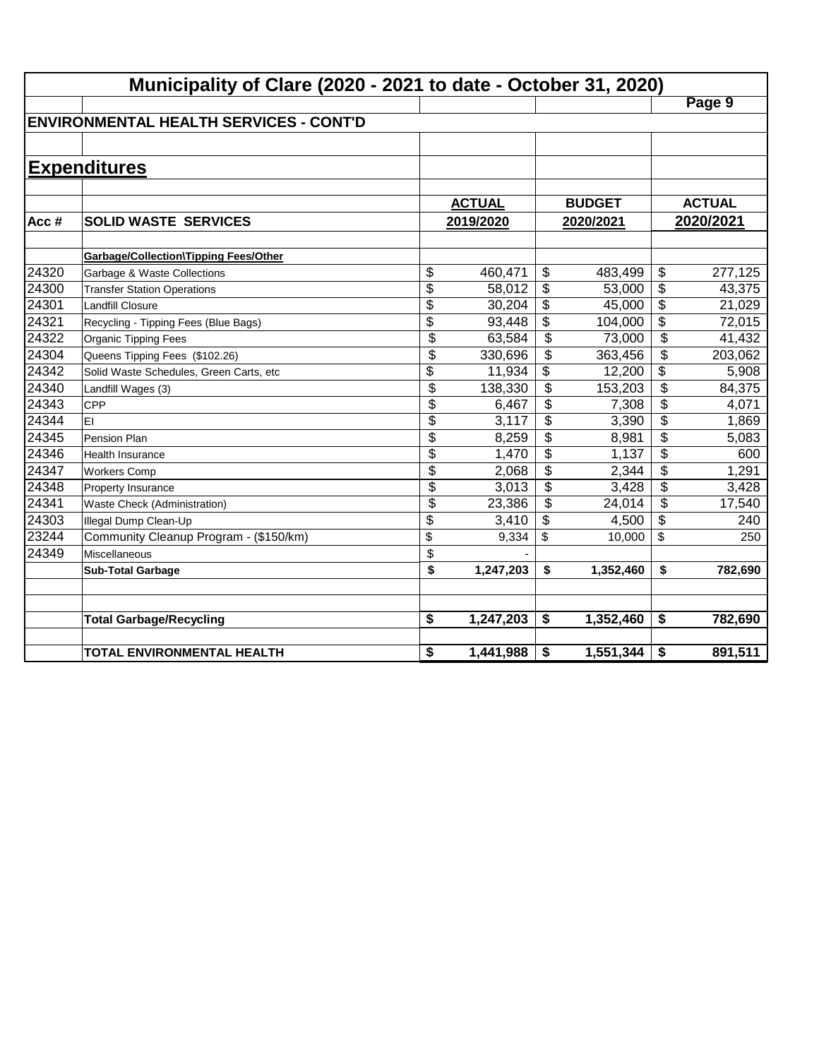|       | Municipality of Clare (2020 - 2021 to date - October 31, 2020) |                           |               |                           |               |                 |               |  |  |  |
|-------|----------------------------------------------------------------|---------------------------|---------------|---------------------------|---------------|-----------------|---------------|--|--|--|
|       |                                                                |                           |               |                           |               |                 | Page 9        |  |  |  |
|       | <b>ENVIRONMENTAL HEALTH SERVICES - CONT'D</b>                  |                           |               |                           |               |                 |               |  |  |  |
|       |                                                                |                           |               |                           |               |                 |               |  |  |  |
|       | <b>Expenditures</b>                                            |                           |               |                           |               |                 |               |  |  |  |
|       |                                                                |                           |               |                           |               |                 |               |  |  |  |
|       |                                                                |                           | <b>ACTUAL</b> |                           | <b>BUDGET</b> |                 | <b>ACTUAL</b> |  |  |  |
| Acc#  | <b>SOLID WASTE SERVICES</b>                                    |                           | 2019/2020     |                           | 2020/2021     |                 | 2020/2021     |  |  |  |
|       |                                                                |                           |               |                           |               |                 |               |  |  |  |
|       | <b>Garbage/Collection\Tipping Fees/Other</b>                   |                           |               |                           |               |                 |               |  |  |  |
| 24320 | Garbage & Waste Collections                                    | \$                        | 460,471       | $\boldsymbol{\mathsf{S}}$ | 483,499       | \$              | 277,125       |  |  |  |
| 24300 | <b>Transfer Station Operations</b>                             | $\overline{\$}$           | 58,012        | \$                        | 53,000        | \$              | 43,375        |  |  |  |
| 24301 | <b>Landfill Closure</b>                                        | $\overline{\$}$           | 30,204        | \$                        | 45,000        | $\overline{\$}$ | 21,029        |  |  |  |
| 24321 | Recycling - Tipping Fees (Blue Bags)                           | $\overline{\$}$           | 93,448        | \$                        | 104,000       | $\overline{\$}$ | 72,015        |  |  |  |
| 24322 | Organic Tipping Fees                                           | \$                        | 63,584        | \$                        | 73,000        | \$              | 41,432        |  |  |  |
| 24304 | Queens Tipping Fees (\$102.26)                                 | $\overline{\$}$           | 330,696       | $\overline{\mathcal{L}}$  | 363,456       | \$              | 203,062       |  |  |  |
| 24342 | Solid Waste Schedules, Green Carts, etc                        | \$                        | 11,934        | \$                        | 12,200        | \$              | 5,908         |  |  |  |
| 24340 | Landfill Wages (3)                                             | $\overline{\mathfrak{s}}$ | 138,330       | \$                        | 153,203       | \$              | 84,375        |  |  |  |
| 24343 | <b>CPP</b>                                                     | \$                        | 6,467         | \$                        | 7,308         | \$              | 4,071         |  |  |  |
| 24344 | EI                                                             | \$                        | 3,117         | \$                        | 3,390         | \$              | 1,869         |  |  |  |
| 24345 | Pension Plan                                                   | \$                        | 8,259         | \$                        | 8,981         | \$              | 5,083         |  |  |  |
| 24346 | <b>Health Insurance</b>                                        | $\overline{\$}$           | 1,470         | \$                        | 1,137         | \$              | 600           |  |  |  |
| 24347 | <b>Workers Comp</b>                                            | \$                        | 2,068         | \$                        | 2,344         | \$              | 1,291         |  |  |  |
| 24348 | Property Insurance                                             | \$                        | 3,013         | $\boldsymbol{\mathsf{S}}$ | 3,428         | \$              | 3,428         |  |  |  |
| 24341 | Waste Check (Administration)                                   | \$                        | 23,386        | \$                        | 24,014        | \$              | 17,540        |  |  |  |
| 24303 | Illegal Dump Clean-Up                                          | \$                        | 3,410         | \$                        | 4,500         | \$              | 240           |  |  |  |
| 23244 | Community Cleanup Program - (\$150/km)                         | \$                        | 9,334         | \$                        | 10,000        | \$              | 250           |  |  |  |
| 24349 | <b>Miscellaneous</b>                                           | \$                        |               |                           |               |                 |               |  |  |  |
|       | <b>Sub-Total Garbage</b>                                       | \$                        | 1,247,203     | \$                        | 1,352,460     | \$              | 782,690       |  |  |  |
|       |                                                                |                           |               |                           |               |                 |               |  |  |  |
|       | <b>Total Garbage/Recycling</b>                                 | \$                        | 1,247,203     | \$                        | 1,352,460     | \$              | 782,690       |  |  |  |
|       |                                                                |                           |               |                           |               |                 |               |  |  |  |
|       | <b>TOTAL ENVIRONMENTAL HEALTH</b>                              | \$                        | 1,441,988     | \$                        | 1,551,344     | \$              | 891,511       |  |  |  |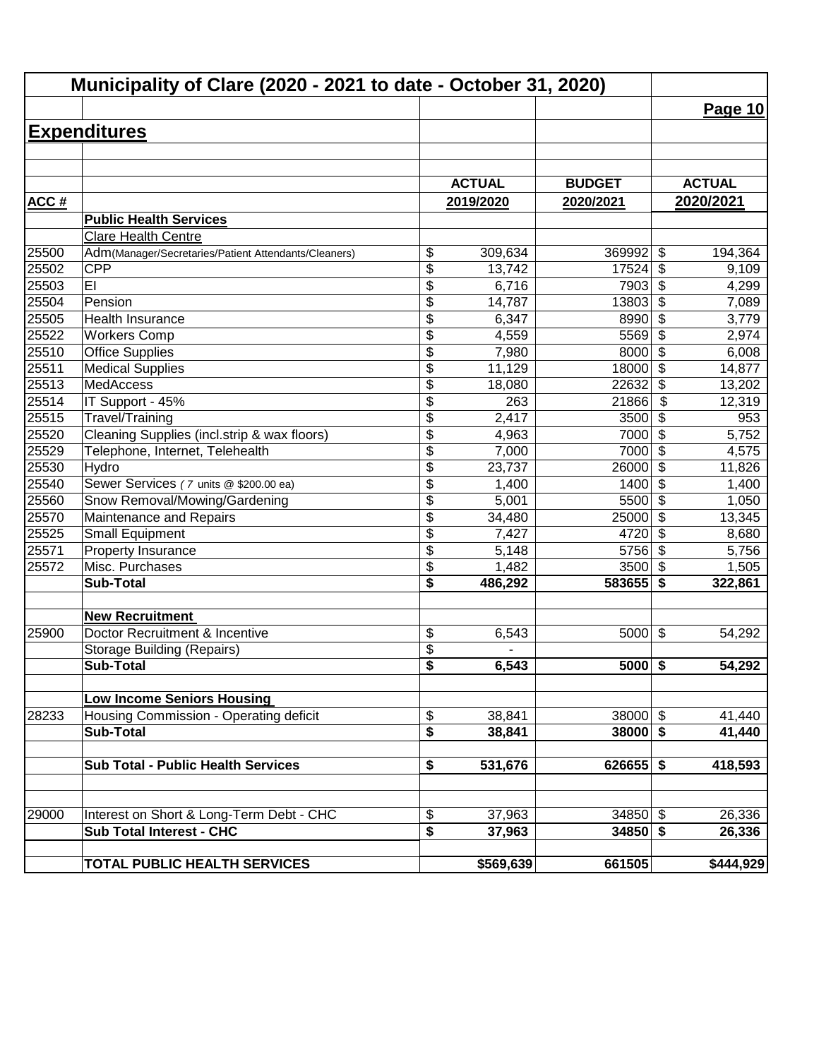| Municipality of Clare (2020 - 2021 to date - October 31, 2020) |                                                      |                 |               |               |                                  |               |
|----------------------------------------------------------------|------------------------------------------------------|-----------------|---------------|---------------|----------------------------------|---------------|
|                                                                |                                                      |                 |               |               |                                  | Page 10       |
|                                                                | <b>Expenditures</b>                                  |                 |               |               |                                  |               |
|                                                                |                                                      |                 |               |               |                                  |               |
|                                                                |                                                      |                 |               |               |                                  |               |
|                                                                |                                                      |                 | <b>ACTUAL</b> | <b>BUDGET</b> |                                  | <b>ACTUAL</b> |
| <b>ACC#</b>                                                    |                                                      |                 | 2019/2020     | 2020/2021     |                                  | 2020/2021     |
|                                                                | <b>Public Health Services</b>                        |                 |               |               |                                  |               |
|                                                                | <b>Clare Health Centre</b>                           |                 |               |               |                                  |               |
| 25500                                                          | Adm(Manager/Secretaries/Patient Attendants/Cleaners) | \$              | 309,634       | 369992        | \$                               | 194,364       |
| 25502                                                          | <b>CPP</b>                                           | \$              | 13,742        | 17524         | \$                               | 9,109         |
| 25503                                                          | EI                                                   | \$              | 6,716         | 7903          | \$                               | 4,299         |
| 25504                                                          | Pension                                              | \$              | 14,787        | 13803         | $\overline{\boldsymbol{\theta}}$ | 7,089         |
| 25505                                                          | Health Insurance                                     | \$              | 6,347         | 8990          | $\overline{\boldsymbol{\theta}}$ | 3,779         |
| 25522                                                          | <b>Workers Comp</b>                                  | \$              | 4,559         | 5569          | $\overline{\$}$                  | 2,974         |
| 25510                                                          | <b>Office Supplies</b>                               | $\overline{\$}$ | 7,980         | 8000          | $\overline{\mathcal{S}}$         | 6,008         |
| 25511                                                          | <b>Medical Supplies</b>                              | $\overline{\$}$ | 11,129        | 18000         | $\overline{\$}$                  | 14,877        |
| 25513                                                          | <b>MedAccess</b>                                     | \$              | 18,080        | 22632         | $\overline{\$}$                  | 13,202        |
| 25514                                                          | IT Support - 45%                                     | \$              | 263           | 21866         | \$                               | 12,319        |
| 25515                                                          | Travel/Training                                      | \$              | 2,417         | 3500          | \$                               | 953           |
| 25520                                                          | Cleaning Supplies (incl.strip & wax floors)          | $\overline{\$}$ | 4,963         | 7000          | \$                               | 5,752         |
| 25529                                                          | Telephone, Internet, Telehealth                      | \$              | 7,000         | 7000          | $\boldsymbol{\mathsf{S}}$        | 4,575         |
| 25530                                                          | Hydro                                                | $\overline{\$}$ | 23,737        | 26000         | $\boldsymbol{\mathsf{S}}$        | 11,826        |
| 25540                                                          | Sewer Services (7 units @ \$200.00 ea)               | \$              | 1,400         | 1400          | $\overline{\mathcal{S}}$         | 1,400         |
| 25560                                                          | Snow Removal/Mowing/Gardening                        | \$              | 5,001         | 5500          | $\overline{\mathcal{L}}$         | 1,050         |
| 25570                                                          | Maintenance and Repairs                              | \$              | 34,480        | 25000         | $\overline{\mathcal{L}}$         | 13,345        |
| 25525                                                          | <b>Small Equipment</b>                               | \$              | 7,427         | 4720          | \$                               | 8,680         |
| 25571                                                          | Property Insurance                                   | \$              | 5,148         | 5756          | $\sqrt{2}$                       | 5,756         |
| 25572                                                          | Misc. Purchases                                      | \$              | 1,482         | 3500          | $\sqrt{2}$                       | 1,505         |
|                                                                | <b>Sub-Total</b>                                     | \$              | 486,292       | 583655        | \$                               | 322,861       |
|                                                                | <b>New Recruitment</b>                               |                 |               |               |                                  |               |
| 25900                                                          | Doctor Recruitment & Incentive                       | \$              | 6,543         | 5000          | $\boldsymbol{\mathsf{S}}$        | 54,292        |
|                                                                | <b>Storage Building (Repairs)</b>                    | \$              |               |               |                                  |               |
|                                                                | Sub-Total                                            | \$              | 6,543         | $5000$ \$     |                                  | 54,292        |
|                                                                |                                                      |                 |               |               |                                  |               |
|                                                                | <b>Low Income Seniors Housing</b>                    |                 |               |               |                                  |               |
| 28233                                                          | Housing Commission - Operating deficit               | \$              | 38,841        | $38000$ \$    |                                  | 41,440        |
|                                                                | <b>Sub-Total</b>                                     | \$              | 38,841        | $38000$ \$    |                                  | 41,440        |
|                                                                |                                                      |                 |               |               |                                  |               |
|                                                                | <b>Sub Total - Public Health Services</b>            | \$              | 531,676       | $626655$ \$   |                                  | 418,593       |
|                                                                |                                                      |                 |               |               |                                  |               |
| 29000                                                          | Interest on Short & Long-Term Debt - CHC             | \$              | 37,963        | $34850$ \$    |                                  | 26,336        |
|                                                                | <b>Sub Total Interest - CHC</b>                      | \$              | 37,963        | $34850$ \$    |                                  | 26,336        |
|                                                                |                                                      |                 |               |               |                                  |               |
|                                                                | TOTAL PUBLIC HEALTH SERVICES                         |                 | \$569,639     | 661505        |                                  | \$444,929     |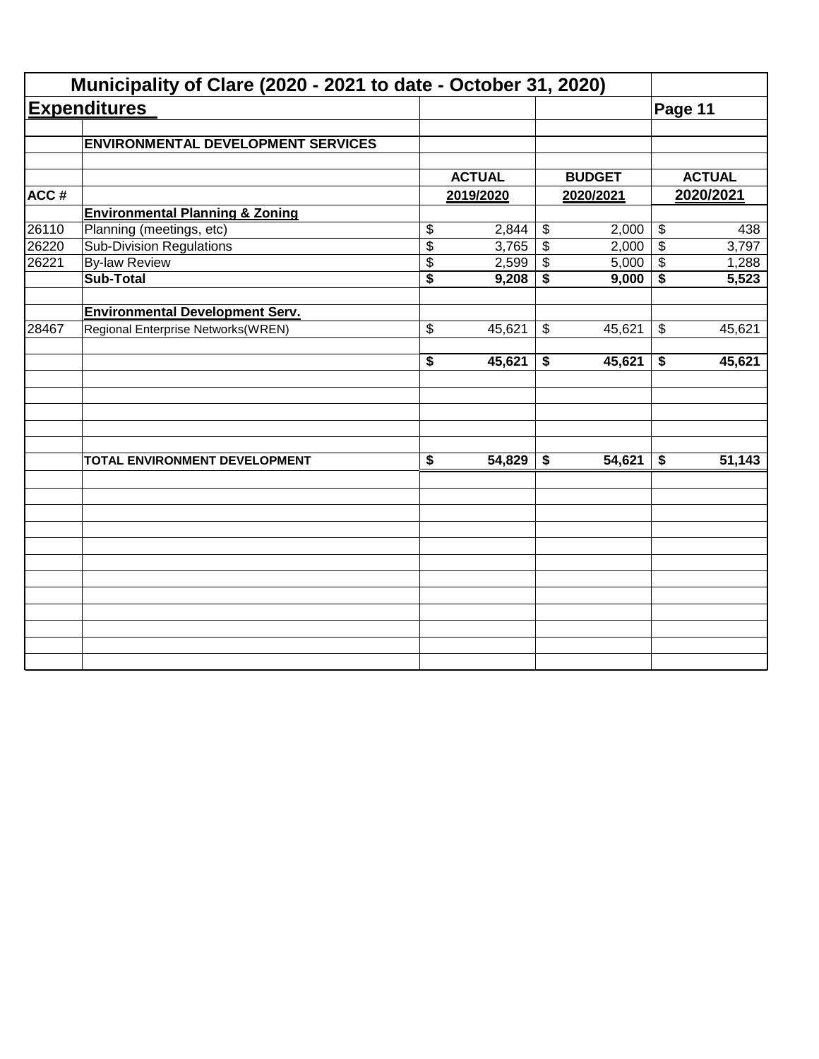| <b>Expenditures</b>                       |                                                                                                                                                                             |                             |                                                       |                                                              | Page 11                                                                                               |                                                                                               |
|-------------------------------------------|-----------------------------------------------------------------------------------------------------------------------------------------------------------------------------|-----------------------------|-------------------------------------------------------|--------------------------------------------------------------|-------------------------------------------------------------------------------------------------------|-----------------------------------------------------------------------------------------------|
| <b>ENVIRONMENTAL DEVELOPMENT SERVICES</b> |                                                                                                                                                                             |                             |                                                       |                                                              |                                                                                                       |                                                                                               |
|                                           |                                                                                                                                                                             |                             |                                                       |                                                              |                                                                                                       | <b>ACTUAL</b>                                                                                 |
|                                           |                                                                                                                                                                             |                             |                                                       |                                                              |                                                                                                       | 2020/2021                                                                                     |
|                                           |                                                                                                                                                                             |                             |                                                       |                                                              |                                                                                                       |                                                                                               |
|                                           |                                                                                                                                                                             |                             |                                                       |                                                              |                                                                                                       | 438                                                                                           |
|                                           |                                                                                                                                                                             |                             |                                                       |                                                              |                                                                                                       | 3,797                                                                                         |
|                                           |                                                                                                                                                                             |                             |                                                       |                                                              |                                                                                                       | 1,288                                                                                         |
| <b>Sub-Total</b>                          | $\overline{\$}$                                                                                                                                                             | 9,208                       | \$                                                    | 9,000                                                        | \$                                                                                                    | 5,523                                                                                         |
|                                           |                                                                                                                                                                             |                             |                                                       |                                                              |                                                                                                       |                                                                                               |
| Regional Enterprise Networks(WREN)        | \$                                                                                                                                                                          | 45,621                      | \$                                                    | 45,621                                                       | $\boldsymbol{\mathsf{\$}}$                                                                            | 45,621                                                                                        |
|                                           | $\overline{\boldsymbol{s}}$                                                                                                                                                 | 45,621                      | \$                                                    | 45,621                                                       | \$                                                                                                    | 45,621                                                                                        |
|                                           |                                                                                                                                                                             |                             |                                                       |                                                              |                                                                                                       |                                                                                               |
| TOTAL ENVIRONMENT DEVELOPMENT             | $\overline{\boldsymbol{\mathsf{s}}}$                                                                                                                                        | 54,829                      | \$                                                    | 54,621                                                       | \$                                                                                                    | 51,143                                                                                        |
|                                           |                                                                                                                                                                             |                             |                                                       |                                                              |                                                                                                       |                                                                                               |
|                                           |                                                                                                                                                                             |                             |                                                       |                                                              |                                                                                                       |                                                                                               |
|                                           |                                                                                                                                                                             |                             |                                                       |                                                              |                                                                                                       |                                                                                               |
|                                           |                                                                                                                                                                             |                             |                                                       |                                                              |                                                                                                       |                                                                                               |
|                                           |                                                                                                                                                                             |                             |                                                       |                                                              |                                                                                                       |                                                                                               |
|                                           |                                                                                                                                                                             |                             |                                                       |                                                              |                                                                                                       |                                                                                               |
|                                           | <b>Environmental Planning &amp; Zoning</b><br>Planning (meetings, etc)<br><b>Sub-Division Regulations</b><br><b>By-law Review</b><br><b>Environmental Development Serv.</b> | \$<br>$\overline{\$}$<br>\$ | <b>ACTUAL</b><br>2019/2020<br>2,844<br>3,765<br>2,599 | $\boldsymbol{\mathsf{\$}}$<br>$\overline{\mathcal{L}}$<br>\$ | Municipality of Clare (2020 - 2021 to date - October 31, 2020)<br><b>BUDGET</b><br>2020/2021<br>2,000 | $\boldsymbol{\mathsf{\$}}$<br>$\overline{\$}$<br>2,000<br>5,000<br>$\boldsymbol{\mathsf{\$}}$ |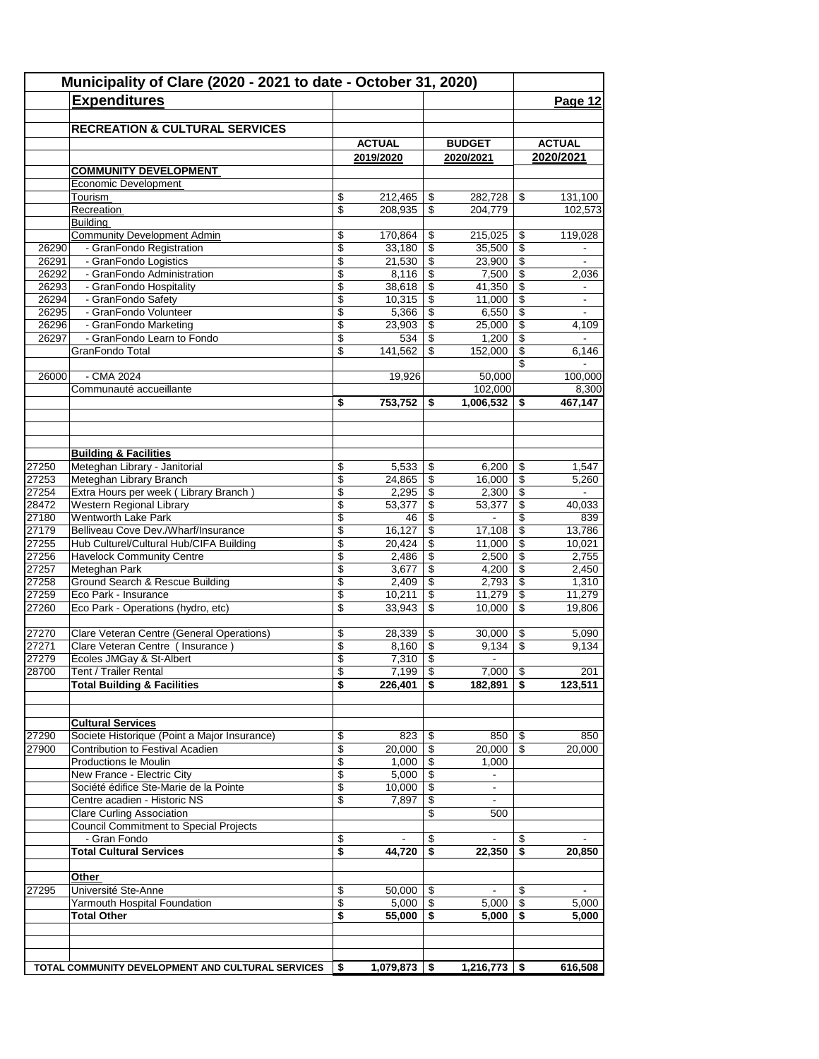|       | Municipality of Clare (2020 - 2021 to date - October 31, 2020) |                    |                 |                          |                          |                           |
|-------|----------------------------------------------------------------|--------------------|-----------------|--------------------------|--------------------------|---------------------------|
|       | <b>Expenditures</b>                                            |                    |                 |                          |                          | Page 12                   |
|       |                                                                |                    |                 |                          |                          |                           |
|       | <b>RECREATION &amp; CULTURAL SERVICES</b>                      |                    |                 |                          |                          |                           |
|       |                                                                | <b>ACTUAL</b>      |                 | <b>BUDGET</b>            |                          | <b>ACTUAL</b>             |
|       |                                                                | 2019/2020          |                 | 2020/2021                |                          | 2020/2021                 |
|       | <b>COMMUNITY DEVELOPMENT</b>                                   |                    |                 |                          |                          |                           |
|       | Economic Development                                           |                    |                 |                          |                          |                           |
|       | Tourism                                                        | \$<br>212,465      | \$              | 282,728                  | \$                       | $\overline{131,100}$      |
|       | Recreation                                                     | \$<br>208,935      | \$              | 204,779                  |                          | 102,573                   |
|       | Building<br><b>Community Development Admin</b>                 | \$<br>170,864      | S               | 215,025                  | \$                       | 119,028                   |
| 26290 | - GranFondo Registration                                       | \$<br>33,180       | \$              | 35,500                   | \$                       |                           |
| 26291 | - GranFondo Logistics                                          | \$<br>21,530       | \$              | 23,900                   | \$                       |                           |
| 26292 | - GranFondo Administration                                     | \$<br>8,116        | \$              | 7,500                    | \$                       | 2,036                     |
| 26293 | - GranFondo Hospitality                                        | \$<br>38,618       | \$              | 41,350                   | \$                       |                           |
| 26294 | - GranFondo Safety                                             | \$<br>10,315       | \$              | 11,000                   | \$                       | $\overline{\phantom{a}}$  |
| 26295 | - GranFondo Volunteer                                          | \$<br>5,366        | \$              | 6,550                    | \$                       |                           |
| 26296 | - GranFondo Marketing                                          | \$<br>23,903       | \$              | 25,000                   | \$                       | 4,109                     |
| 26297 | - GranFondo Learn to Fondo                                     | \$<br>534          | \$              | 1,200                    | \$                       | $\blacksquare$            |
|       | GranFondo Total                                                | \$<br>141,562      | \$              | 152,000                  | \$                       | 6,146                     |
| 26000 | - CMA 2024                                                     | 19,926             |                 | 50,000                   | \$                       | $\blacksquare$<br>100,000 |
|       | Communauté accueillante                                        |                    |                 | 102,000                  |                          | 8,300                     |
|       |                                                                | \$<br>753,752      | \$              | 1,006,532                | S                        | 467,147                   |
|       |                                                                |                    |                 |                          |                          |                           |
|       |                                                                |                    |                 |                          |                          |                           |
|       | <b>Building &amp; Facilities</b>                               |                    |                 |                          |                          |                           |
| 27250 | Meteghan Library - Janitorial                                  | \$<br>5,533        | \$              | 6,200                    | \$                       | 1,547                     |
| 27253 | Meteghan Library Branch                                        | \$<br>24,865       | \$              | 16,000                   | \$                       | 5,260                     |
| 27254 | Extra Hours per week (Library Branch)                          | \$<br>2,295        | \$              | 2,300                    | \$                       | $\blacksquare$            |
| 28472 | Western Regional Library                                       | \$<br>53,377       | \$              | 53,377                   | \$                       | 40,033                    |
| 27180 | <b>Wentworth Lake Park</b>                                     | \$<br>46           | \$              | $\overline{\phantom{a}}$ | \$                       | 839                       |
| 27179 | Belliveau Cove Dev./Wharf/Insurance                            | \$<br>16,127       | \$              | 17,108                   | \$                       | 13,786                    |
| 27255 | Hub Culturel/Cultural Hub/CIFA Building                        | \$<br>20,424       | \$              | 11,000                   | $\mathsf{\$}$            | 10,021                    |
| 27256 | <b>Havelock Community Centre</b>                               | \$<br>2,486        | \$              | 2,500                    | \$                       | 2,755                     |
| 27257 | Meteghan Park                                                  | \$<br>3,677        | \$              | 4,200                    | \$                       | 2,450                     |
| 27258 | Ground Search & Rescue Building                                | \$<br>2,409        | \$              | 2,793                    | \$                       | 1,310                     |
| 27259 | Eco Park - Insurance                                           | \$<br>10,211       | \$              | 11,279                   | \$                       | 11,279                    |
| 27260 | Eco Park - Operations (hydro, etc)                             | \$<br>33,943       | \$              | 10,000                   | \$                       | 19,806                    |
| 27270 | Clare Veteran Centre (General Operations)                      | \$<br>28,339       | \$              | 30,000                   | \$                       | 5,090                     |
| 27271 | Clare Veteran Centre ( Insurance )                             | \$<br>8,160        | \$              | 9.134                    | \$                       | 9.134                     |
| 27279 | Écoles JMGay & St-Albert                                       | \$<br>7,310        | \$              | $\blacksquare$           |                          |                           |
| 28700 | Tent / Trailer Rental                                          | \$<br>7,199        | $\overline{\$}$ | 7,000                    | $\overline{\mathcal{S}}$ | 201                       |
|       | <b>Total Building &amp; Facilities</b>                         | \$<br>226,401      | \$              | 182,891                  | \$                       | 123,511                   |
|       |                                                                |                    |                 |                          |                          |                           |
|       | <b>Cultural Services</b>                                       |                    |                 |                          |                          |                           |
| 27290 | Societe Historique (Point a Major Insurance)                   | \$<br>823          | \$              | 850                      | \$                       | 850                       |
| 27900 | Contribution to Festival Acadien                               | \$<br>20,000       | \$              | 20,000                   | \$                       | 20,000                    |
|       | Productions le Moulin                                          | \$<br>1,000        | \$              | 1,000                    |                          |                           |
|       | New France - Electric City                                     | \$<br>5,000        | \$              | $\sim$                   |                          |                           |
|       | Société édifice Ste-Marie de la Pointe                         | \$<br>10,000       | \$              | $\overline{\phantom{a}}$ |                          |                           |
|       | Centre acadien - Historic NS                                   | \$<br>7,897        | \$              | $\sim$                   |                          |                           |
|       | <b>Clare Curling Association</b>                               |                    | \$              | 500                      |                          |                           |
|       | <b>Council Commitment to Special Projects</b>                  |                    |                 |                          |                          |                           |
|       | - Gran Fondo                                                   | \$                 | \$              |                          | \$                       | ۰                         |
|       | <b>Total Cultural Services</b>                                 | \$<br>44,720       | \$              | 22,350                   | \$                       | 20,850                    |
|       | Other                                                          |                    |                 |                          |                          |                           |
| 27295 | Université Ste-Anne                                            | \$<br>50,000       | \$              |                          | \$                       |                           |
|       | Yarmouth Hospital Foundation                                   | \$<br>$5,000$ \ \$ |                 | 5,000                    | \$                       | 5,000                     |
|       | Total Other                                                    | \$<br>55,000       | \$              | 5,000                    | S                        | 5,000                     |
|       |                                                                |                    |                 |                          |                          |                           |
|       |                                                                |                    |                 |                          |                          |                           |
|       | TOTAL COMMUNITY DEVELOPMENT AND CULTURAL SERVICES              | \$<br>1,079,873    | -\$             | 1,216,773                | \$                       | 616,508                   |
|       |                                                                |                    |                 |                          |                          |                           |